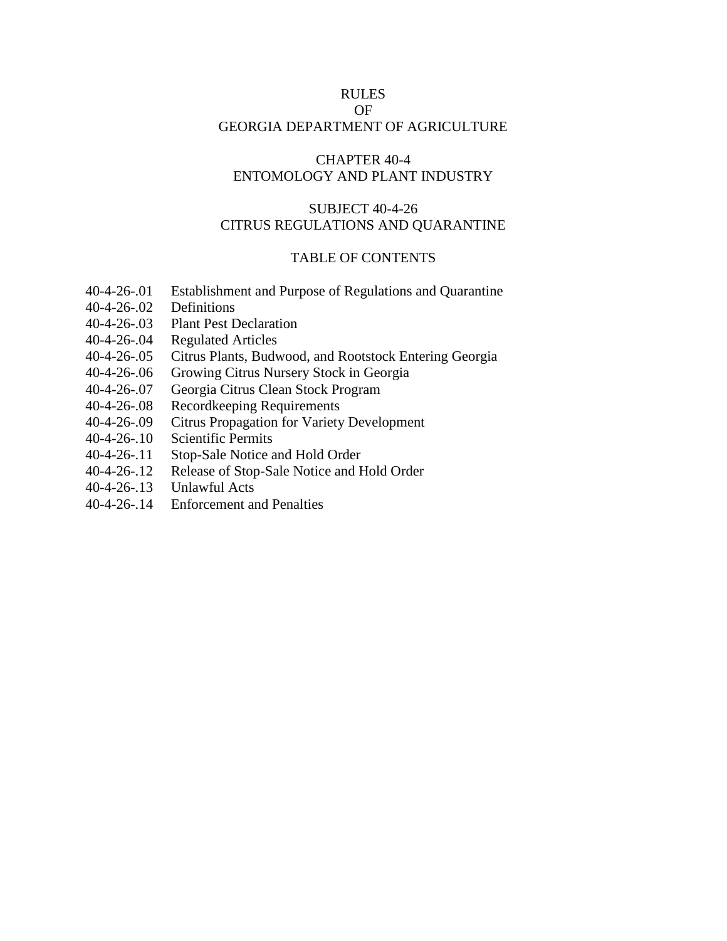## RULES

# OF

## GEORGIA DEPARTMENT OF AGRICULTURE

## CHAPTER 40-4 ENTOMOLOGY AND PLANT INDUSTRY

## SUBJECT 40-4-26 CITRUS REGULATIONS AND QUARANTINE

#### TABLE OF CONTENTS

- 40-4-26-.01 Establishment and Purpose of Regulations and Quarantine
- 40-4-26-.02 Definitions
- 40-4-26-.03 Plant Pest Declaration
- 40-4-26-.04 Regulated Articles
- 40-4-26-.05 Citrus Plants, Budwood, and Rootstock Entering Georgia
- 40-4-26-.06 Growing Citrus Nursery Stock in Georgia
- 40-4-26-.07 Georgia Citrus Clean Stock Program
- 40-4-26-.08 Recordkeeping Requirements
- 40-4-26-.09 Citrus Propagation for Variety Development
- 40-4-26-.10 Scientific Permits
- 40-4-26-.11 Stop-Sale Notice and Hold Order
- 40-4-26-.12 Release of Stop-Sale Notice and Hold Order
- 40-4-26-.13 Unlawful Acts
- 40-4-26-.14 Enforcement and Penalties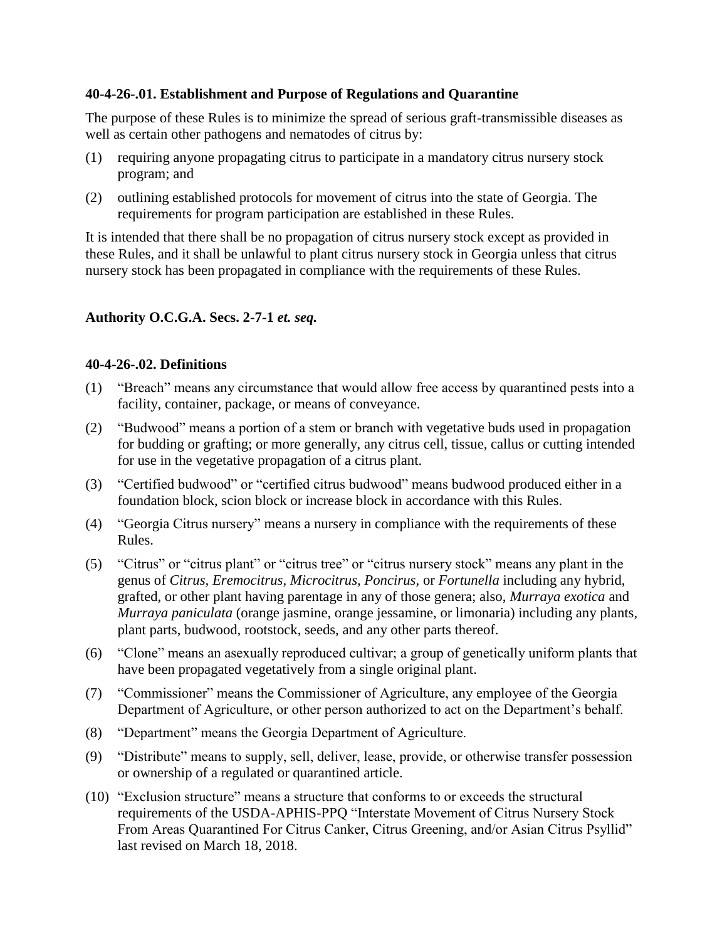## **40-4-26-.01. Establishment and Purpose of Regulations and Quarantine**

The purpose of these Rules is to minimize the spread of serious graft-transmissible diseases as well as certain other pathogens and nematodes of citrus by:

- (1) requiring anyone propagating citrus to participate in a mandatory citrus nursery stock program; and
- (2) outlining established protocols for movement of citrus into the state of Georgia. The requirements for program participation are established in these Rules.

It is intended that there shall be no propagation of citrus nursery stock except as provided in these Rules, and it shall be unlawful to plant citrus nursery stock in Georgia unless that citrus nursery stock has been propagated in compliance with the requirements of these Rules.

## **Authority O.C.G.A. Secs. 2-7-1** *et. seq.*

## **40-4-26-.02. Definitions**

- (1) "Breach" means any circumstance that would allow free access by quarantined pests into a facility, container, package, or means of conveyance.
- (2) "Budwood" means a portion of a stem or branch with vegetative buds used in propagation for budding or grafting; or more generally, any citrus cell, tissue, callus or cutting intended for use in the vegetative propagation of a citrus plant.
- (3) "Certified budwood" or "certified citrus budwood" means budwood produced either in a foundation block, scion block or increase block in accordance with this Rules.
- (4) "Georgia Citrus nursery" means a nursery in compliance with the requirements of these Rules.
- (5) "Citrus" or "citrus plant" or "citrus tree" or "citrus nursery stock" means any plant in the genus of *Citrus, Eremocitrus, Microcitrus, Poncirus,* or *Fortunella* including any hybrid, grafted, or other plant having parentage in any of those genera; also, *Murraya exotica* and *Murraya paniculata* (orange jasmine, orange jessamine, or limonaria) including any plants, plant parts, budwood, rootstock, seeds, and any other parts thereof.
- (6) "Clone" means an asexually reproduced cultivar; a group of genetically uniform plants that have been propagated vegetatively from a single original plant.
- (7) "Commissioner" means the Commissioner of Agriculture, any employee of the Georgia Department of Agriculture, or other person authorized to act on the Department's behalf.
- (8) "Department" means the Georgia Department of Agriculture.
- (9) "Distribute" means to supply, sell, deliver, lease, provide, or otherwise transfer possession or ownership of a regulated or quarantined article.
- (10) "Exclusion structure" means a structure that conforms to or exceeds the structural requirements of the USDA-APHIS-PPQ "Interstate Movement of Citrus Nursery Stock From Areas Quarantined For Citrus Canker, Citrus Greening, and/or Asian Citrus Psyllid" last revised on March 18, 2018.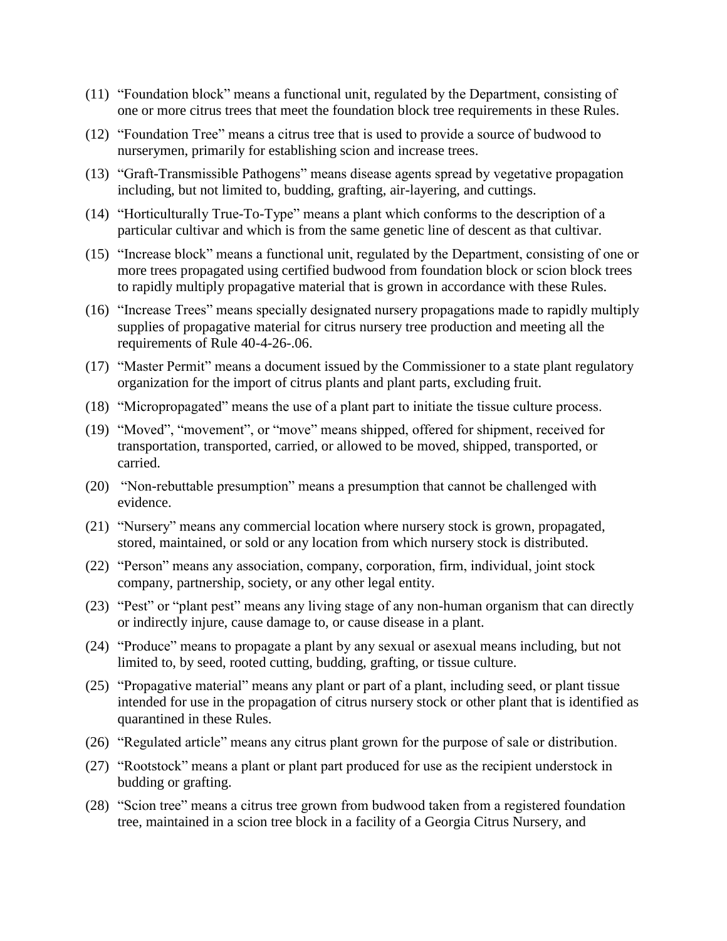- (11) "Foundation block" means a functional unit, regulated by the Department, consisting of one or more citrus trees that meet the foundation block tree requirements in these Rules.
- (12) "Foundation Tree" means a citrus tree that is used to provide a source of budwood to nurserymen, primarily for establishing scion and increase trees.
- (13) "Graft-Transmissible Pathogens" means disease agents spread by vegetative propagation including, but not limited to, budding, grafting, air-layering, and cuttings.
- (14) "Horticulturally True-To-Type" means a plant which conforms to the description of a particular cultivar and which is from the same genetic line of descent as that cultivar.
- (15) "Increase block" means a functional unit, regulated by the Department, consisting of one or more trees propagated using certified budwood from foundation block or scion block trees to rapidly multiply propagative material that is grown in accordance with these Rules.
- (16) "Increase Trees" means specially designated nursery propagations made to rapidly multiply supplies of propagative material for citrus nursery tree production and meeting all the requirements of Rule 40-4-26-.06.
- (17) "Master Permit" means a document issued by the Commissioner to a state plant regulatory organization for the import of citrus plants and plant parts, excluding fruit.
- (18) "Micropropagated" means the use of a plant part to initiate the tissue culture process.
- (19) "Moved", "movement", or "move" means shipped, offered for shipment, received for transportation, transported, carried, or allowed to be moved, shipped, transported, or carried.
- (20) "Non-rebuttable presumption" means a presumption that cannot be challenged with evidence.
- (21) "Nursery" means any commercial location where nursery stock is grown, propagated, stored, maintained, or sold or any location from which nursery stock is distributed.
- (22) "Person" means any association, company, corporation, firm, individual, joint stock company, partnership, society, or any other legal entity.
- (23) "Pest" or "plant pest" means any living stage of any non-human organism that can directly or indirectly injure, cause damage to, or cause disease in a plant.
- (24) "Produce" means to propagate a plant by any sexual or asexual means including, but not limited to, by seed, rooted cutting, budding, grafting, or tissue culture.
- (25) "Propagative material" means any plant or part of a plant, including seed, or plant tissue intended for use in the propagation of citrus nursery stock or other plant that is identified as quarantined in these Rules.
- (26) "Regulated article" means any citrus plant grown for the purpose of sale or distribution.
- (27) "Rootstock" means a plant or plant part produced for use as the recipient understock in budding or grafting.
- (28) "Scion tree" means a citrus tree grown from budwood taken from a registered foundation tree, maintained in a scion tree block in a facility of a Georgia Citrus Nursery, and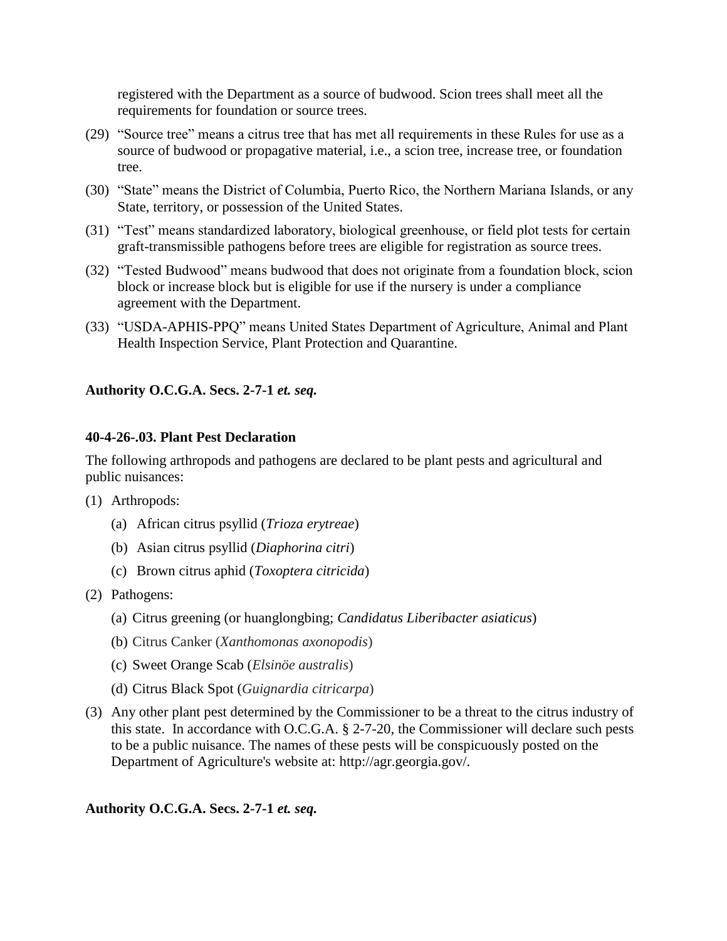registered with the Department as a source of budwood. Scion trees shall meet all the requirements for foundation or source trees.

- (29) "Source tree" means a citrus tree that has met all requirements in these Rules for use as a source of budwood or propagative material, i.e., a scion tree, increase tree, or foundation tree.
- (30) "State" means the District of Columbia, Puerto Rico, the Northern Mariana Islands, or any State, territory, or possession of the United States.
- (31) "Test" means standardized laboratory, biological greenhouse, or field plot tests for certain graft-transmissible pathogens before trees are eligible for registration as source trees.
- (32) "Tested Budwood" means budwood that does not originate from a foundation block, scion block or increase block but is eligible for use if the nursery is under a compliance agreement with the Department.
- (33) "USDA-APHIS-PPQ" means United States Department of Agriculture, Animal and Plant Health Inspection Service, Plant Protection and Quarantine.

**Authority O.C.G.A. Secs. 2-7-1** *et. seq.* 

## **40-4-26-.03. Plant Pest Declaration**

The following arthropods and pathogens are declared to be plant pests and agricultural and public nuisances:

- (1) Arthropods:
	- (a) African citrus psyllid (*Trioza erytreae*)
	- (b) Asian citrus psyllid (*Diaphorina citri*)
	- (c) Brown citrus aphid (*Toxoptera citricida*)
- (2) Pathogens:
	- (a) Citrus greening (or huanglongbing; *Candidatus Liberibacter asiaticus*)
	- (b) Citrus Canker (*Xanthomonas axonopodis*)
	- (c) Sweet Orange Scab (*Elsinöe australis*)
	- (d) Citrus Black Spot (*Guignardia citricarpa*)
- (3) Any other plant pest determined by the Commissioner to be a threat to the citrus industry of this state. In accordance with O.C.G.A. § 2-7-20, the Commissioner will declare such pests to be a public nuisance. The names of these pests will be conspicuously posted on the Department of Agriculture's website at: http://agr.georgia.gov/.

**Authority O.C.G.A. Secs. 2-7-1** *et. seq.*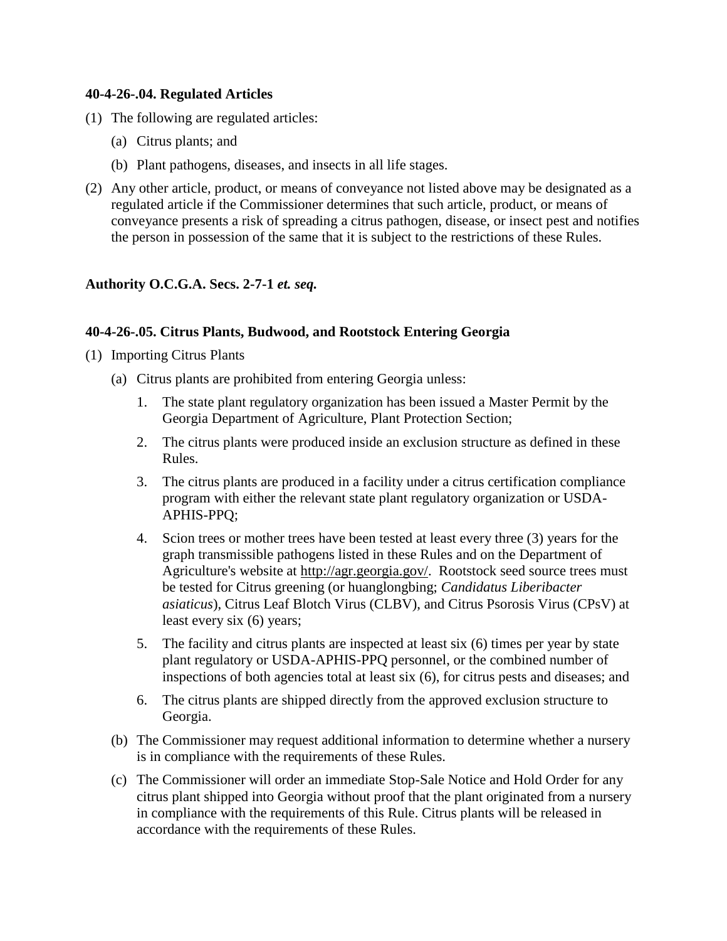## **40-4-26-.04. Regulated Articles**

- (1) The following are regulated articles:
	- (a) Citrus plants; and
	- (b) Plant pathogens, diseases, and insects in all life stages.
- (2) Any other article, product, or means of conveyance not listed above may be designated as a regulated article if the Commissioner determines that such article, product, or means of conveyance presents a risk of spreading a citrus pathogen, disease, or insect pest and notifies the person in possession of the same that it is subject to the restrictions of these Rules.

## **Authority O.C.G.A. Secs. 2-7-1** *et. seq.*

#### **40-4-26-.05. Citrus Plants, Budwood, and Rootstock Entering Georgia**

- (1) Importing Citrus Plants
	- (a) Citrus plants are prohibited from entering Georgia unless:
		- 1. The state plant regulatory organization has been issued a Master Permit by the Georgia Department of Agriculture, Plant Protection Section;
		- 2. The citrus plants were produced inside an exclusion structure as defined in these Rules.
		- 3. The citrus plants are produced in a facility under a citrus certification compliance program with either the relevant state plant regulatory organization or USDA-APHIS-PPQ;
		- 4. Scion trees or mother trees have been tested at least every three (3) years for the graph transmissible pathogens listed in these Rules and on the Department of Agriculture's website at [http://agr.georgia.gov/.](http://agr.georgia.gov/) Rootstock seed source trees must be tested for Citrus greening (or huanglongbing; *Candidatus Liberibacter asiaticus*), Citrus Leaf Blotch Virus (CLBV), and Citrus Psorosis Virus (CPsV) at least every six (6) years;
		- 5. The facility and citrus plants are inspected at least six (6) times per year by state plant regulatory or USDA-APHIS-PPQ personnel, or the combined number of inspections of both agencies total at least six (6), for citrus pests and diseases; and
		- 6. The citrus plants are shipped directly from the approved exclusion structure to Georgia.
	- (b) The Commissioner may request additional information to determine whether a nursery is in compliance with the requirements of these Rules.
	- (c) The Commissioner will order an immediate Stop-Sale Notice and Hold Order for any citrus plant shipped into Georgia without proof that the plant originated from a nursery in compliance with the requirements of this Rule. Citrus plants will be released in accordance with the requirements of these Rules.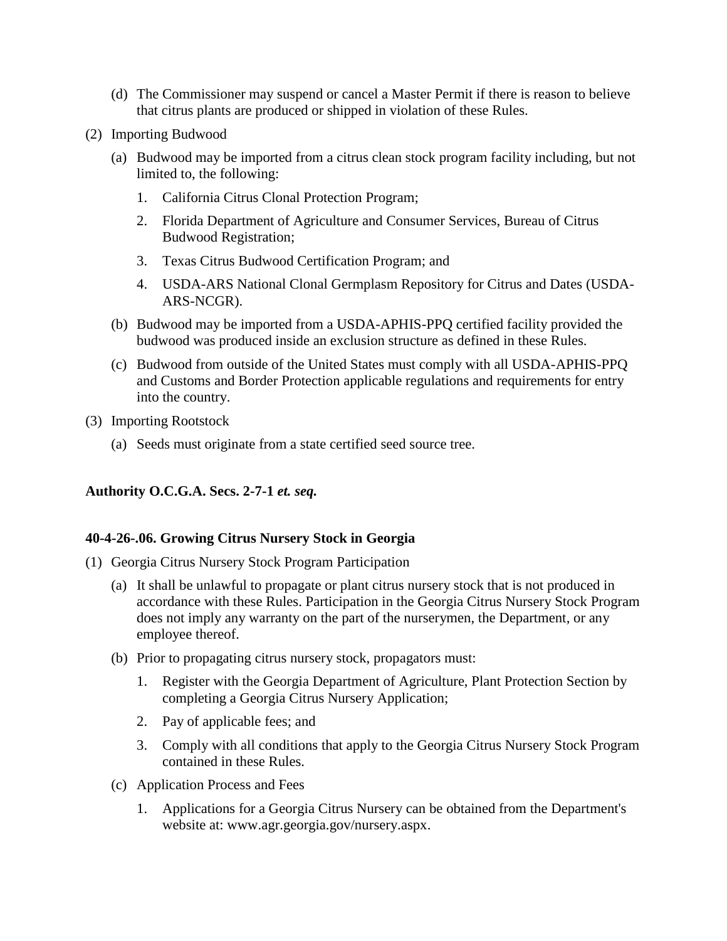- (d) The Commissioner may suspend or cancel a Master Permit if there is reason to believe that citrus plants are produced or shipped in violation of these Rules.
- (2) Importing Budwood
	- (a) Budwood may be imported from a citrus clean stock program facility including, but not limited to, the following:
		- 1. California Citrus Clonal Protection Program;
		- 2. Florida Department of Agriculture and Consumer Services, Bureau of Citrus Budwood Registration;
		- 3. Texas Citrus Budwood Certification Program; and
		- 4. USDA-ARS National Clonal Germplasm Repository for Citrus and Dates (USDA-ARS-NCGR).
	- (b) Budwood may be imported from a USDA-APHIS-PPQ certified facility provided the budwood was produced inside an exclusion structure as defined in these Rules.
	- (c) Budwood from outside of the United States must comply with all USDA-APHIS-PPQ and Customs and Border Protection applicable regulations and requirements for entry into the country.
- (3) Importing Rootstock
	- (a) Seeds must originate from a state certified seed source tree.

## **40-4-26-.06. Growing Citrus Nursery Stock in Georgia**

- (1) Georgia Citrus Nursery Stock Program Participation
	- (a) It shall be unlawful to propagate or plant citrus nursery stock that is not produced in accordance with these Rules. Participation in the Georgia Citrus Nursery Stock Program does not imply any warranty on the part of the nurserymen, the Department, or any employee thereof.
	- (b) Prior to propagating citrus nursery stock, propagators must:
		- 1. Register with the Georgia Department of Agriculture, Plant Protection Section by completing a Georgia Citrus Nursery Application;
		- 2. Pay of applicable fees; and
		- 3. Comply with all conditions that apply to the Georgia Citrus Nursery Stock Program contained in these Rules.
	- (c) Application Process and Fees
		- 1. Applications for a Georgia Citrus Nursery can be obtained from the Department's website at: www.agr.georgia.gov/nursery.aspx.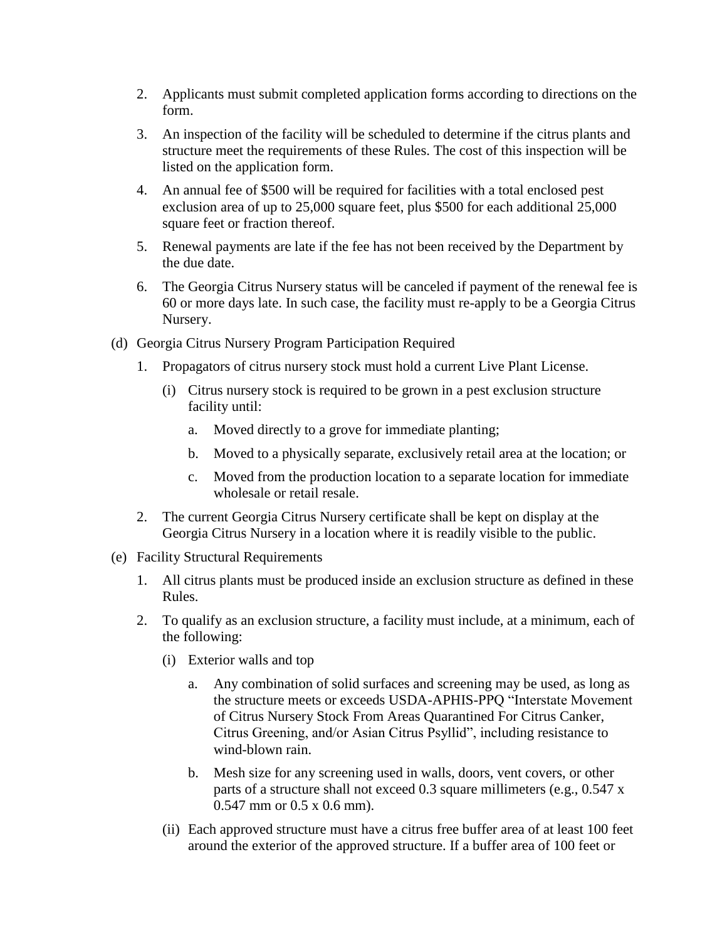- 2. Applicants must submit completed application forms according to directions on the form.
- 3. An inspection of the facility will be scheduled to determine if the citrus plants and structure meet the requirements of these Rules. The cost of this inspection will be listed on the application form.
- 4. An annual fee of \$500 will be required for facilities with a total enclosed pest exclusion area of up to 25,000 square feet, plus \$500 for each additional 25,000 square feet or fraction thereof.
- 5. Renewal payments are late if the fee has not been received by the Department by the due date.
- 6. The Georgia Citrus Nursery status will be canceled if payment of the renewal fee is 60 or more days late. In such case, the facility must re-apply to be a Georgia Citrus Nursery.
- (d) Georgia Citrus Nursery Program Participation Required
	- 1. Propagators of citrus nursery stock must hold a current Live Plant License.
		- (i) Citrus nursery stock is required to be grown in a pest exclusion structure facility until:
			- a. Moved directly to a grove for immediate planting;
			- b. Moved to a physically separate, exclusively retail area at the location; or
			- c. Moved from the production location to a separate location for immediate wholesale or retail resale.
	- 2. The current Georgia Citrus Nursery certificate shall be kept on display at the Georgia Citrus Nursery in a location where it is readily visible to the public.
- (e) Facility Structural Requirements
	- 1. All citrus plants must be produced inside an exclusion structure as defined in these Rules.
	- 2. To qualify as an exclusion structure, a facility must include, at a minimum, each of the following:
		- (i) Exterior walls and top
			- a. Any combination of solid surfaces and screening may be used, as long as the structure meets or exceeds USDA-APHIS-PPQ "Interstate Movement of Citrus Nursery Stock From Areas Quarantined For Citrus Canker, Citrus Greening, and/or Asian Citrus Psyllid", including resistance to wind-blown rain.
			- b. Mesh size for any screening used in walls, doors, vent covers, or other parts of a structure shall not exceed 0.3 square millimeters (e.g., 0.547 x 0.547 mm or 0.5 x 0.6 mm).
		- (ii) Each approved structure must have a citrus free buffer area of at least 100 feet around the exterior of the approved structure. If a buffer area of 100 feet or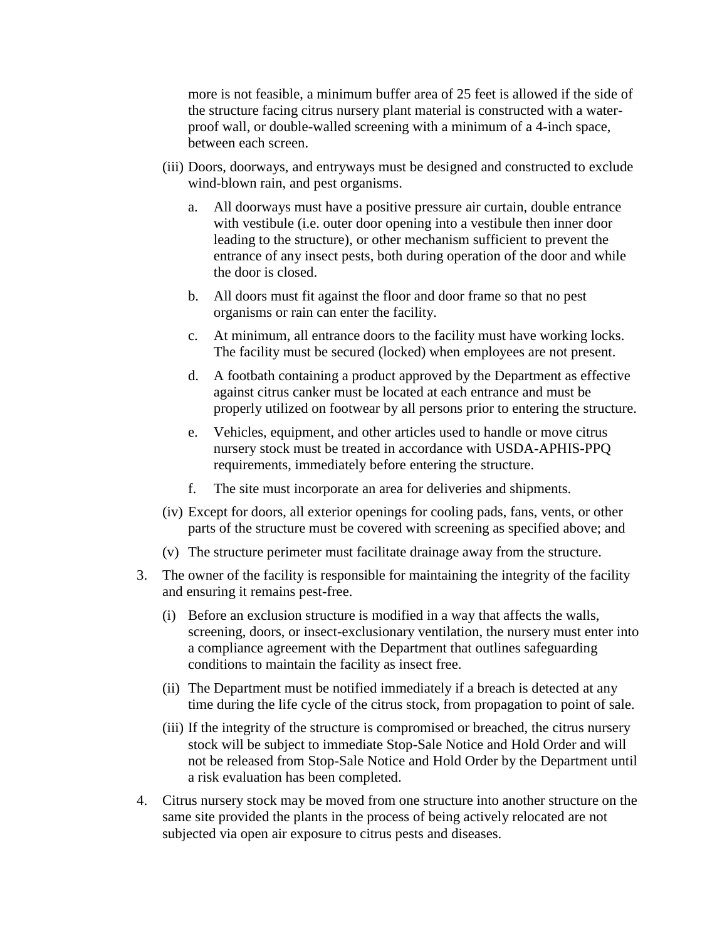more is not feasible, a minimum buffer area of 25 feet is allowed if the side of the structure facing citrus nursery plant material is constructed with a waterproof wall, or double-walled screening with a minimum of a 4-inch space, between each screen.

- (iii) Doors, doorways, and entryways must be designed and constructed to exclude wind-blown rain, and pest organisms.
	- a. All doorways must have a positive pressure air curtain, double entrance with vestibule (i.e. outer door opening into a vestibule then inner door leading to the structure), or other mechanism sufficient to prevent the entrance of any insect pests, both during operation of the door and while the door is closed.
	- b. All doors must fit against the floor and door frame so that no pest organisms or rain can enter the facility.
	- c. At minimum, all entrance doors to the facility must have working locks. The facility must be secured (locked) when employees are not present.
	- d. A footbath containing a product approved by the Department as effective against citrus canker must be located at each entrance and must be properly utilized on footwear by all persons prior to entering the structure.
	- e. Vehicles, equipment, and other articles used to handle or move citrus nursery stock must be treated in accordance with USDA-APHIS-PPQ requirements, immediately before entering the structure.
	- f. The site must incorporate an area for deliveries and shipments.
- (iv) Except for doors, all exterior openings for cooling pads, fans, vents, or other parts of the structure must be covered with screening as specified above; and
- (v) The structure perimeter must facilitate drainage away from the structure.
- 3. The owner of the facility is responsible for maintaining the integrity of the facility and ensuring it remains pest-free.
	- (i) Before an exclusion structure is modified in a way that affects the walls, screening, doors, or insect-exclusionary ventilation, the nursery must enter into a compliance agreement with the Department that outlines safeguarding conditions to maintain the facility as insect free.
	- (ii) The Department must be notified immediately if a breach is detected at any time during the life cycle of the citrus stock, from propagation to point of sale.
	- (iii) If the integrity of the structure is compromised or breached, the citrus nursery stock will be subject to immediate Stop-Sale Notice and Hold Order and will not be released from Stop-Sale Notice and Hold Order by the Department until a risk evaluation has been completed.
- 4. Citrus nursery stock may be moved from one structure into another structure on the same site provided the plants in the process of being actively relocated are not subjected via open air exposure to citrus pests and diseases.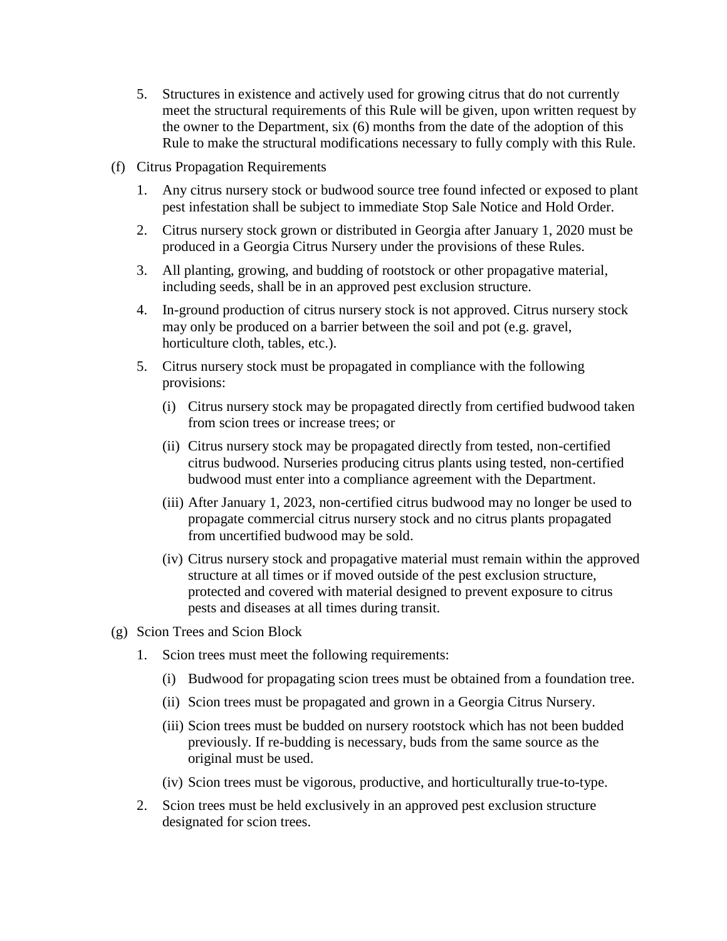- 5. Structures in existence and actively used for growing citrus that do not currently meet the structural requirements of this Rule will be given, upon written request by the owner to the Department, six (6) months from the date of the adoption of this Rule to make the structural modifications necessary to fully comply with this Rule.
- (f) Citrus Propagation Requirements
	- 1. Any citrus nursery stock or budwood source tree found infected or exposed to plant pest infestation shall be subject to immediate Stop Sale Notice and Hold Order.
	- 2. Citrus nursery stock grown or distributed in Georgia after January 1, 2020 must be produced in a Georgia Citrus Nursery under the provisions of these Rules.
	- 3. All planting, growing, and budding of rootstock or other propagative material, including seeds, shall be in an approved pest exclusion structure.
	- 4. In-ground production of citrus nursery stock is not approved. Citrus nursery stock may only be produced on a barrier between the soil and pot (e.g. gravel, horticulture cloth, tables, etc.).
	- 5. Citrus nursery stock must be propagated in compliance with the following provisions:
		- (i) Citrus nursery stock may be propagated directly from certified budwood taken from scion trees or increase trees; or
		- (ii) Citrus nursery stock may be propagated directly from tested, non-certified citrus budwood. Nurseries producing citrus plants using tested, non-certified budwood must enter into a compliance agreement with the Department.
		- (iii) After January 1, 2023, non-certified citrus budwood may no longer be used to propagate commercial citrus nursery stock and no citrus plants propagated from uncertified budwood may be sold.
		- (iv) Citrus nursery stock and propagative material must remain within the approved structure at all times or if moved outside of the pest exclusion structure, protected and covered with material designed to prevent exposure to citrus pests and diseases at all times during transit.
- (g) Scion Trees and Scion Block
	- 1. Scion trees must meet the following requirements:
		- (i) Budwood for propagating scion trees must be obtained from a foundation tree.
		- (ii) Scion trees must be propagated and grown in a Georgia Citrus Nursery.
		- (iii) Scion trees must be budded on nursery rootstock which has not been budded previously. If re-budding is necessary, buds from the same source as the original must be used.
		- (iv) Scion trees must be vigorous, productive, and horticulturally true-to-type.
	- 2. Scion trees must be held exclusively in an approved pest exclusion structure designated for scion trees.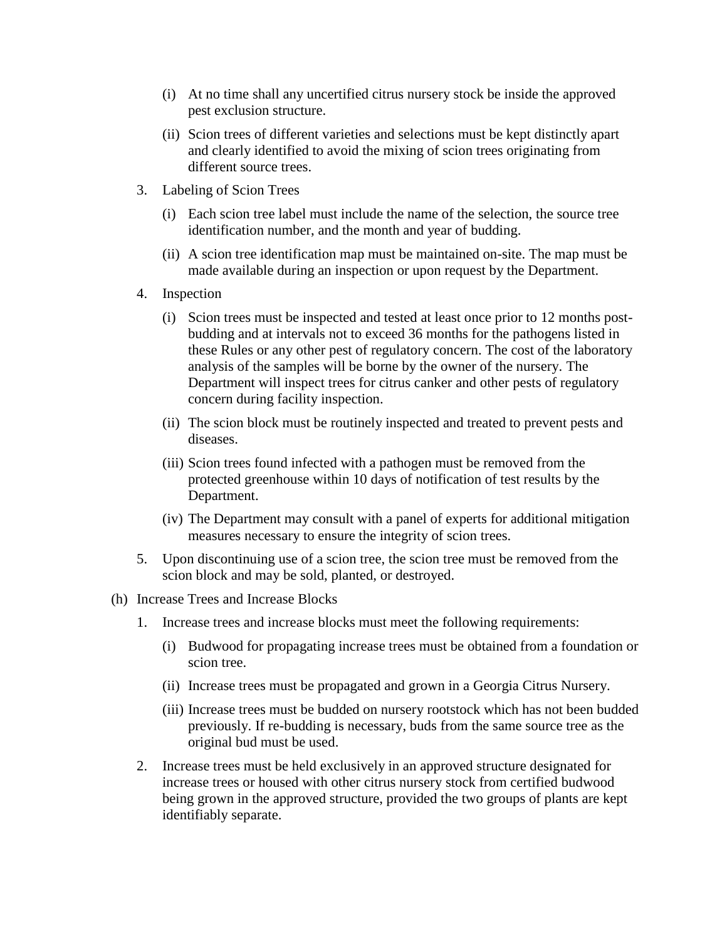- (i) At no time shall any uncertified citrus nursery stock be inside the approved pest exclusion structure.
- (ii) Scion trees of different varieties and selections must be kept distinctly apart and clearly identified to avoid the mixing of scion trees originating from different source trees.
- 3. Labeling of Scion Trees
	- (i) Each scion tree label must include the name of the selection, the source tree identification number, and the month and year of budding.
	- (ii) A scion tree identification map must be maintained on-site. The map must be made available during an inspection or upon request by the Department.
- 4. Inspection
	- (i) Scion trees must be inspected and tested at least once prior to 12 months postbudding and at intervals not to exceed 36 months for the pathogens listed in these Rules or any other pest of regulatory concern. The cost of the laboratory analysis of the samples will be borne by the owner of the nursery. The Department will inspect trees for citrus canker and other pests of regulatory concern during facility inspection.
	- (ii) The scion block must be routinely inspected and treated to prevent pests and diseases.
	- (iii) Scion trees found infected with a pathogen must be removed from the protected greenhouse within 10 days of notification of test results by the Department.
	- (iv) The Department may consult with a panel of experts for additional mitigation measures necessary to ensure the integrity of scion trees.
- 5. Upon discontinuing use of a scion tree, the scion tree must be removed from the scion block and may be sold, planted, or destroyed.
- (h) Increase Trees and Increase Blocks
	- 1. Increase trees and increase blocks must meet the following requirements:
		- (i) Budwood for propagating increase trees must be obtained from a foundation or scion tree.
		- (ii) Increase trees must be propagated and grown in a Georgia Citrus Nursery.
		- (iii) Increase trees must be budded on nursery rootstock which has not been budded previously. If re-budding is necessary, buds from the same source tree as the original bud must be used.
	- 2. Increase trees must be held exclusively in an approved structure designated for increase trees or housed with other citrus nursery stock from certified budwood being grown in the approved structure, provided the two groups of plants are kept identifiably separate.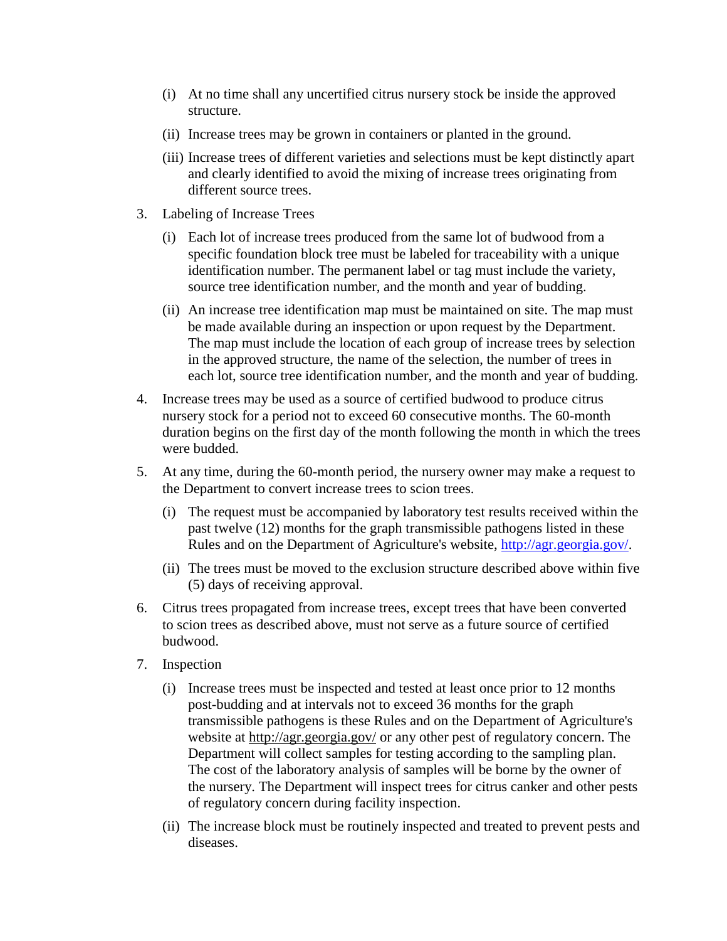- (i) At no time shall any uncertified citrus nursery stock be inside the approved structure.
- (ii) Increase trees may be grown in containers or planted in the ground.
- (iii) Increase trees of different varieties and selections must be kept distinctly apart and clearly identified to avoid the mixing of increase trees originating from different source trees.
- 3. Labeling of Increase Trees
	- (i) Each lot of increase trees produced from the same lot of budwood from a specific foundation block tree must be labeled for traceability with a unique identification number. The permanent label or tag must include the variety, source tree identification number, and the month and year of budding.
	- (ii) An increase tree identification map must be maintained on site. The map must be made available during an inspection or upon request by the Department. The map must include the location of each group of increase trees by selection in the approved structure, the name of the selection, the number of trees in each lot, source tree identification number, and the month and year of budding.
- 4. Increase trees may be used as a source of certified budwood to produce citrus nursery stock for a period not to exceed 60 consecutive months. The 60-month duration begins on the first day of the month following the month in which the trees were budded.
- 5. At any time, during the 60-month period, the nursery owner may make a request to the Department to convert increase trees to scion trees.
	- (i) The request must be accompanied by laboratory test results received within the past twelve (12) months for the graph transmissible pathogens listed in these Rules and on the Department of Agriculture's website, [http://agr.georgia.gov/.](http://agr.georgia.gov/)
	- (ii) The trees must be moved to the exclusion structure described above within five (5) days of receiving approval.
- 6. Citrus trees propagated from increase trees, except trees that have been converted to scion trees as described above, must not serve as a future source of certified budwood.
- 7. Inspection
	- (i) Increase trees must be inspected and tested at least once prior to 12 months post-budding and at intervals not to exceed 36 months for the graph transmissible pathogens is these Rules and on the Department of Agriculture's website at <http://agr.georgia.gov/> or any other pest of regulatory concern. The Department will collect samples for testing according to the sampling plan. The cost of the laboratory analysis of samples will be borne by the owner of the nursery. The Department will inspect trees for citrus canker and other pests of regulatory concern during facility inspection.
	- (ii) The increase block must be routinely inspected and treated to prevent pests and diseases.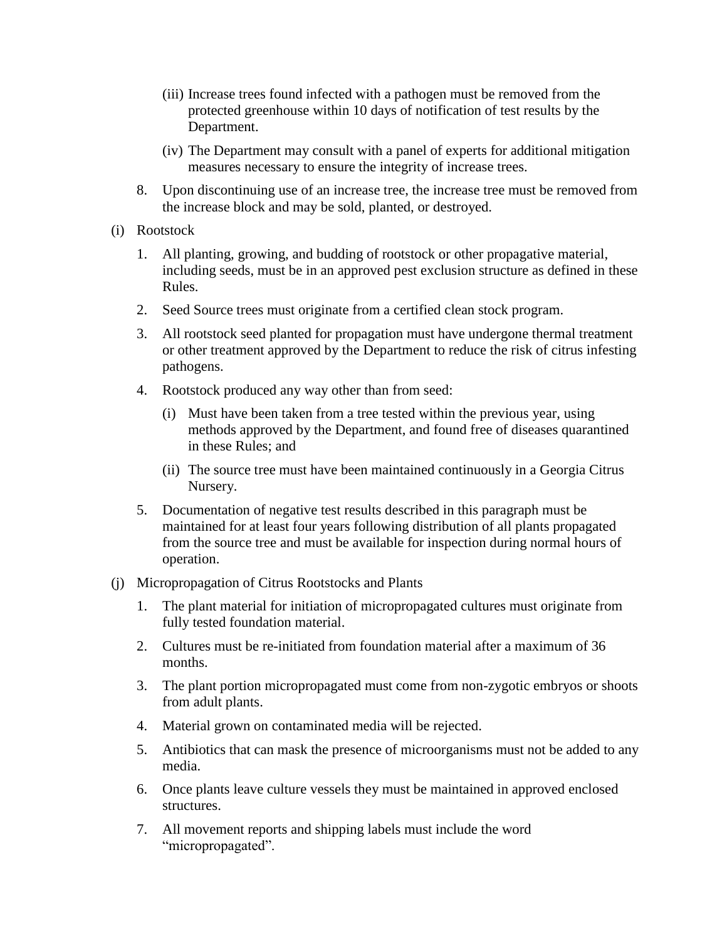- (iii) Increase trees found infected with a pathogen must be removed from the protected greenhouse within 10 days of notification of test results by the Department.
- (iv) The Department may consult with a panel of experts for additional mitigation measures necessary to ensure the integrity of increase trees.
- 8. Upon discontinuing use of an increase tree, the increase tree must be removed from the increase block and may be sold, planted, or destroyed.
- (i) Rootstock
	- 1. All planting, growing, and budding of rootstock or other propagative material, including seeds, must be in an approved pest exclusion structure as defined in these Rules.
	- 2. Seed Source trees must originate from a certified clean stock program.
	- 3. All rootstock seed planted for propagation must have undergone thermal treatment or other treatment approved by the Department to reduce the risk of citrus infesting pathogens.
	- 4. Rootstock produced any way other than from seed:
		- (i) Must have been taken from a tree tested within the previous year, using methods approved by the Department, and found free of diseases quarantined in these Rules; and
		- (ii) The source tree must have been maintained continuously in a Georgia Citrus Nursery.
	- 5. Documentation of negative test results described in this paragraph must be maintained for at least four years following distribution of all plants propagated from the source tree and must be available for inspection during normal hours of operation.
- (j) Micropropagation of Citrus Rootstocks and Plants
	- 1. The plant material for initiation of micropropagated cultures must originate from fully tested foundation material.
	- 2. Cultures must be re-initiated from foundation material after a maximum of 36 months.
	- 3. The plant portion micropropagated must come from non-zygotic embryos or shoots from adult plants.
	- 4. Material grown on contaminated media will be rejected.
	- 5. Antibiotics that can mask the presence of microorganisms must not be added to any media.
	- 6. Once plants leave culture vessels they must be maintained in approved enclosed structures.
	- 7. All movement reports and shipping labels must include the word "micropropagated".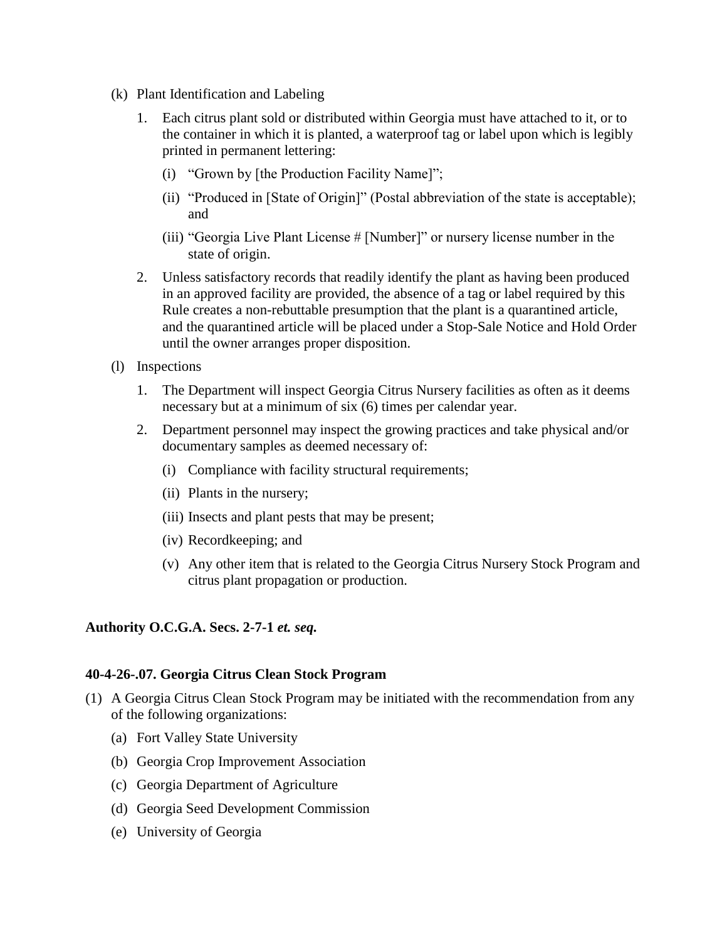- (k) Plant Identification and Labeling
	- 1. Each citrus plant sold or distributed within Georgia must have attached to it, or to the container in which it is planted, a waterproof tag or label upon which is legibly printed in permanent lettering:
		- (i) "Grown by [the Production Facility Name]";
		- (ii) "Produced in [State of Origin]" (Postal abbreviation of the state is acceptable); and
		- (iii) "Georgia Live Plant License # [Number]" or nursery license number in the state of origin.
	- 2. Unless satisfactory records that readily identify the plant as having been produced in an approved facility are provided, the absence of a tag or label required by this Rule creates a non-rebuttable presumption that the plant is a quarantined article, and the quarantined article will be placed under a Stop-Sale Notice and Hold Order until the owner arranges proper disposition.
- (l) Inspections
	- 1. The Department will inspect Georgia Citrus Nursery facilities as often as it deems necessary but at a minimum of six (6) times per calendar year.
	- 2. Department personnel may inspect the growing practices and take physical and/or documentary samples as deemed necessary of:
		- (i) Compliance with facility structural requirements;
		- (ii) Plants in the nursery;
		- (iii) Insects and plant pests that may be present;
		- (iv) Recordkeeping; and
		- (v) Any other item that is related to the Georgia Citrus Nursery Stock Program and citrus plant propagation or production.

#### **40-4-26-.07. Georgia Citrus Clean Stock Program**

- (1) A Georgia Citrus Clean Stock Program may be initiated with the recommendation from any of the following organizations:
	- (a) Fort Valley State University
	- (b) Georgia Crop Improvement Association
	- (c) Georgia Department of Agriculture
	- (d) Georgia Seed Development Commission
	- (e) University of Georgia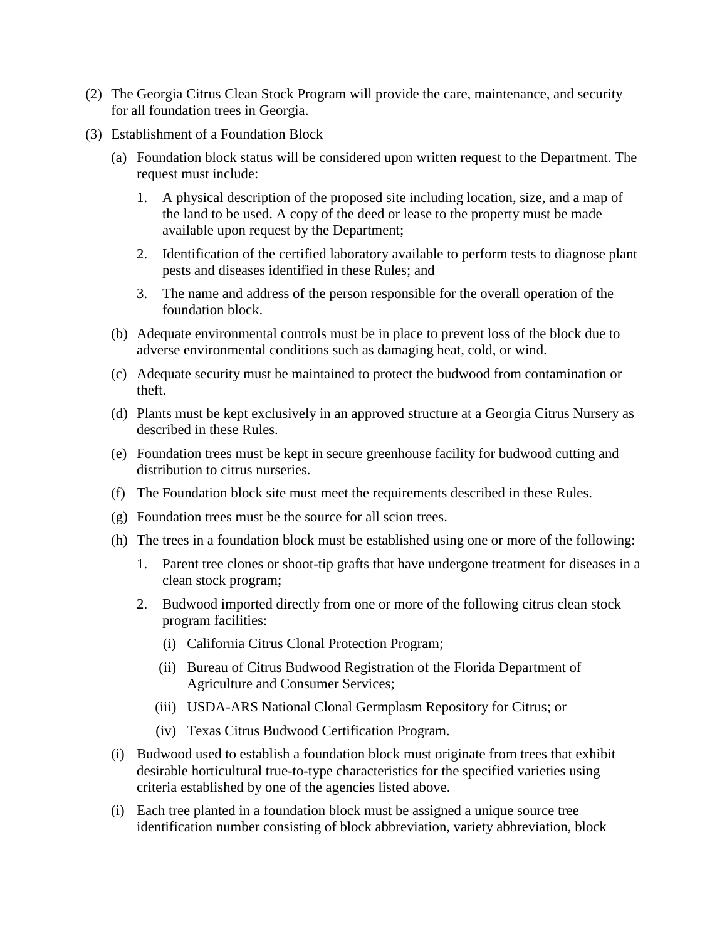- (2) The Georgia Citrus Clean Stock Program will provide the care, maintenance, and security for all foundation trees in Georgia.
- (3) Establishment of a Foundation Block
	- (a) Foundation block status will be considered upon written request to the Department. The request must include:
		- 1. A physical description of the proposed site including location, size, and a map of the land to be used. A copy of the deed or lease to the property must be made available upon request by the Department;
		- 2. Identification of the certified laboratory available to perform tests to diagnose plant pests and diseases identified in these Rules; and
		- 3. The name and address of the person responsible for the overall operation of the foundation block.
	- (b) Adequate environmental controls must be in place to prevent loss of the block due to adverse environmental conditions such as damaging heat, cold, or wind.
	- (c) Adequate security must be maintained to protect the budwood from contamination or theft.
	- (d) Plants must be kept exclusively in an approved structure at a Georgia Citrus Nursery as described in these Rules.
	- (e) Foundation trees must be kept in secure greenhouse facility for budwood cutting and distribution to citrus nurseries.
	- (f) The Foundation block site must meet the requirements described in these Rules.
	- (g) Foundation trees must be the source for all scion trees.
	- (h) The trees in a foundation block must be established using one or more of the following:
		- 1. Parent tree clones or shoot-tip grafts that have undergone treatment for diseases in a clean stock program;
		- 2. Budwood imported directly from one or more of the following citrus clean stock program facilities:
			- (i) California Citrus Clonal Protection Program;
			- (ii) Bureau of Citrus Budwood Registration of the Florida Department of Agriculture and Consumer Services;
			- (iii) USDA-ARS National Clonal Germplasm Repository for Citrus; or
			- (iv) Texas Citrus Budwood Certification Program.
	- (i) Budwood used to establish a foundation block must originate from trees that exhibit desirable horticultural true-to-type characteristics for the specified varieties using criteria established by one of the agencies listed above.
	- (i) Each tree planted in a foundation block must be assigned a unique source tree identification number consisting of block abbreviation, variety abbreviation, block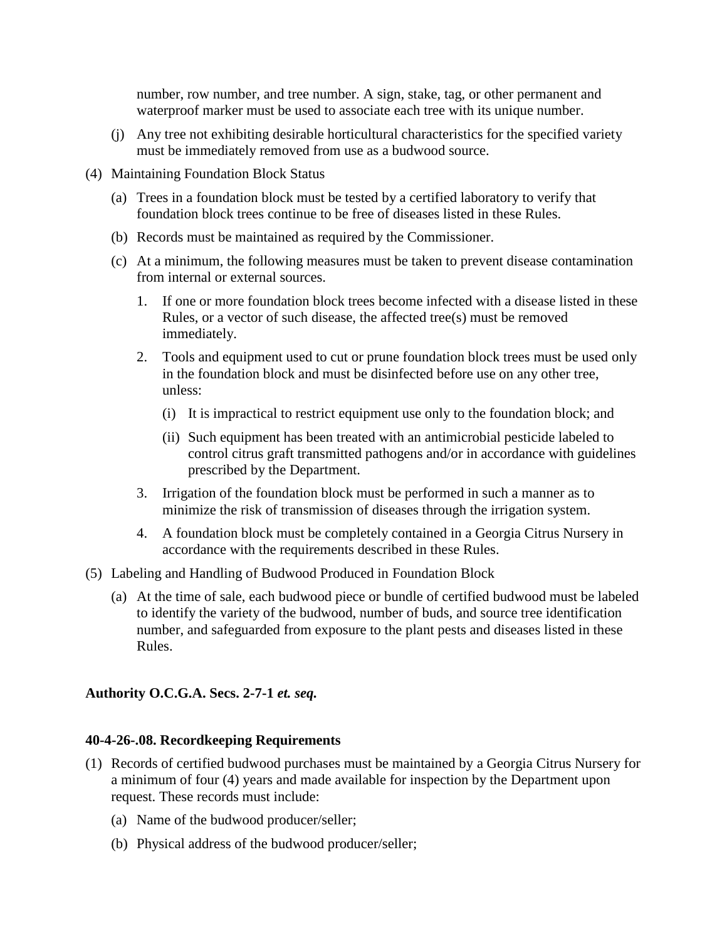number, row number, and tree number. A sign, stake, tag, or other permanent and waterproof marker must be used to associate each tree with its unique number.

- (j) Any tree not exhibiting desirable horticultural characteristics for the specified variety must be immediately removed from use as a budwood source.
- (4) Maintaining Foundation Block Status
	- (a) Trees in a foundation block must be tested by a certified laboratory to verify that foundation block trees continue to be free of diseases listed in these Rules.
	- (b) Records must be maintained as required by the Commissioner.
	- (c) At a minimum, the following measures must be taken to prevent disease contamination from internal or external sources.
		- 1. If one or more foundation block trees become infected with a disease listed in these Rules, or a vector of such disease, the affected tree(s) must be removed immediately.
		- 2. Tools and equipment used to cut or prune foundation block trees must be used only in the foundation block and must be disinfected before use on any other tree, unless:
			- (i) It is impractical to restrict equipment use only to the foundation block; and
			- (ii) Such equipment has been treated with an antimicrobial pesticide labeled to control citrus graft transmitted pathogens and/or in accordance with guidelines prescribed by the Department.
		- 3. Irrigation of the foundation block must be performed in such a manner as to minimize the risk of transmission of diseases through the irrigation system.
		- 4. A foundation block must be completely contained in a Georgia Citrus Nursery in accordance with the requirements described in these Rules.
- (5) Labeling and Handling of Budwood Produced in Foundation Block
	- (a) At the time of sale, each budwood piece or bundle of certified budwood must be labeled to identify the variety of the budwood, number of buds, and source tree identification number, and safeguarded from exposure to the plant pests and diseases listed in these Rules.

## **Authority O.C.G.A. Secs. 2-7-1** *et. seq.*

## **40-4-26-.08. Recordkeeping Requirements**

- (1) Records of certified budwood purchases must be maintained by a Georgia Citrus Nursery for a minimum of four (4) years and made available for inspection by the Department upon request. These records must include:
	- (a) Name of the budwood producer/seller;
	- (b) Physical address of the budwood producer/seller;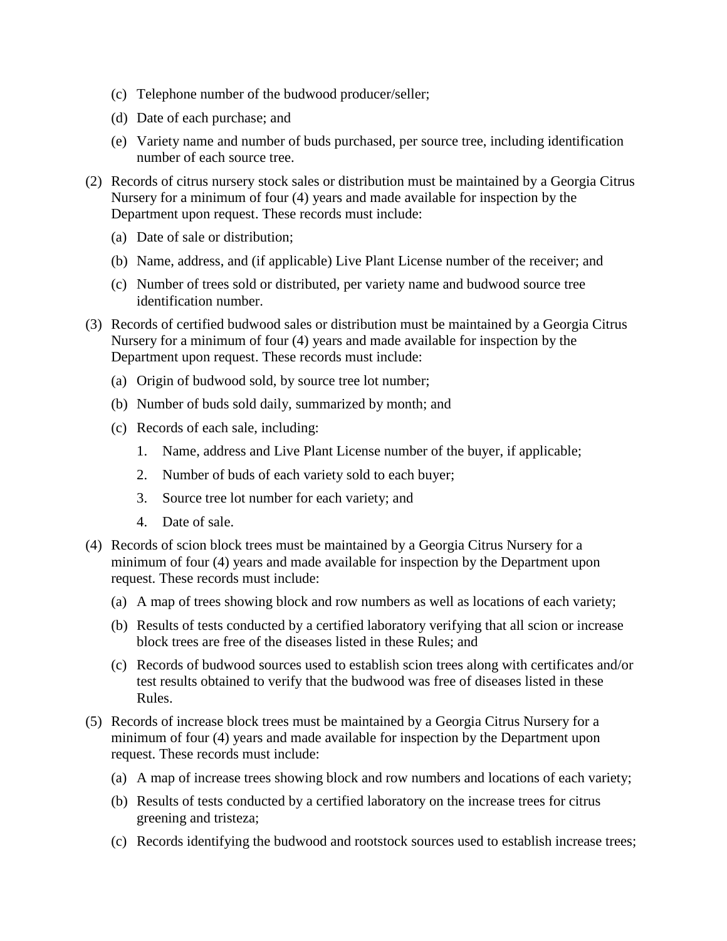- (c) Telephone number of the budwood producer/seller;
- (d) Date of each purchase; and
- (e) Variety name and number of buds purchased, per source tree, including identification number of each source tree.
- (2) Records of citrus nursery stock sales or distribution must be maintained by a Georgia Citrus Nursery for a minimum of four (4) years and made available for inspection by the Department upon request. These records must include:
	- (a) Date of sale or distribution;
	- (b) Name, address, and (if applicable) Live Plant License number of the receiver; and
	- (c) Number of trees sold or distributed, per variety name and budwood source tree identification number.
- (3) Records of certified budwood sales or distribution must be maintained by a Georgia Citrus Nursery for a minimum of four (4) years and made available for inspection by the Department upon request. These records must include:
	- (a) Origin of budwood sold, by source tree lot number;
	- (b) Number of buds sold daily, summarized by month; and
	- (c) Records of each sale, including:
		- 1. Name, address and Live Plant License number of the buyer, if applicable;
		- 2. Number of buds of each variety sold to each buyer;
		- 3. Source tree lot number for each variety; and
		- 4. Date of sale.
- (4) Records of scion block trees must be maintained by a Georgia Citrus Nursery for a minimum of four (4) years and made available for inspection by the Department upon request. These records must include:
	- (a) A map of trees showing block and row numbers as well as locations of each variety;
	- (b) Results of tests conducted by a certified laboratory verifying that all scion or increase block trees are free of the diseases listed in these Rules; and
	- (c) Records of budwood sources used to establish scion trees along with certificates and/or test results obtained to verify that the budwood was free of diseases listed in these Rules.
- (5) Records of increase block trees must be maintained by a Georgia Citrus Nursery for a minimum of four (4) years and made available for inspection by the Department upon request. These records must include:
	- (a) A map of increase trees showing block and row numbers and locations of each variety;
	- (b) Results of tests conducted by a certified laboratory on the increase trees for citrus greening and tristeza;
	- (c) Records identifying the budwood and rootstock sources used to establish increase trees;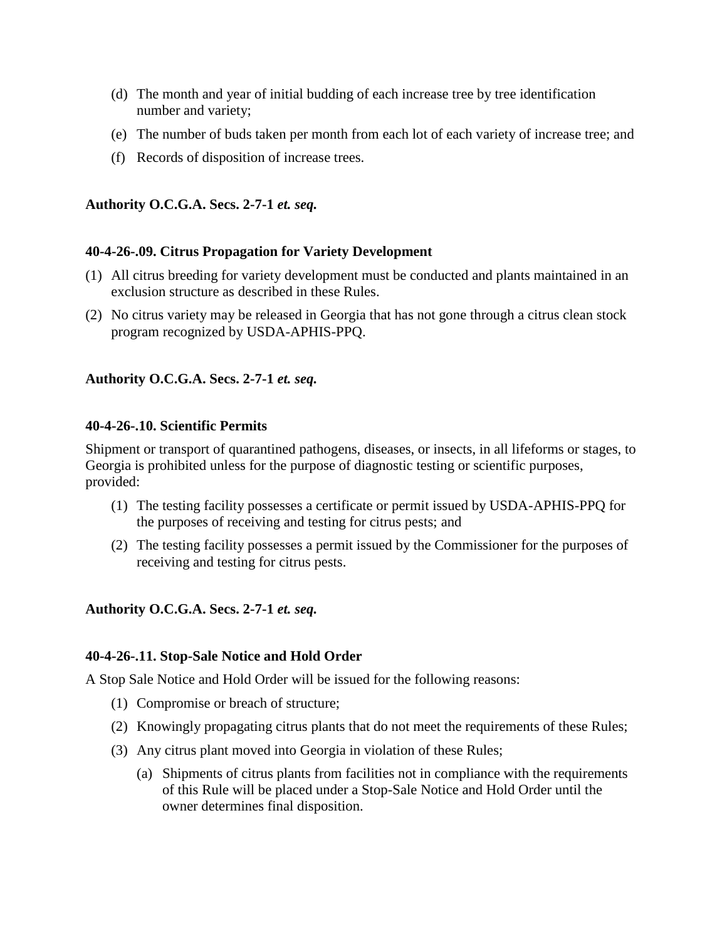- (d) The month and year of initial budding of each increase tree by tree identification number and variety;
- (e) The number of buds taken per month from each lot of each variety of increase tree; and
- (f) Records of disposition of increase trees.

## **40-4-26-.09. Citrus Propagation for Variety Development**

- (1) All citrus breeding for variety development must be conducted and plants maintained in an exclusion structure as described in these Rules.
- (2) No citrus variety may be released in Georgia that has not gone through a citrus clean stock program recognized by USDA-APHIS-PPQ.

## **Authority O.C.G.A. Secs. 2-7-1** *et. seq.*

## **40-4-26-.10. Scientific Permits**

Shipment or transport of quarantined pathogens, diseases, or insects, in all lifeforms or stages, to Georgia is prohibited unless for the purpose of diagnostic testing or scientific purposes, provided:

- (1) The testing facility possesses a certificate or permit issued by USDA-APHIS-PPQ for the purposes of receiving and testing for citrus pests; and
- (2) The testing facility possesses a permit issued by the Commissioner for the purposes of receiving and testing for citrus pests.

## **Authority O.C.G.A. Secs. 2-7-1** *et. seq.*

## **40-4-26-.11. Stop-Sale Notice and Hold Order**

A Stop Sale Notice and Hold Order will be issued for the following reasons:

- (1) Compromise or breach of structure;
- (2) Knowingly propagating citrus plants that do not meet the requirements of these Rules;
- (3) Any citrus plant moved into Georgia in violation of these Rules;
	- (a) Shipments of citrus plants from facilities not in compliance with the requirements of this Rule will be placed under a Stop-Sale Notice and Hold Order until the owner determines final disposition.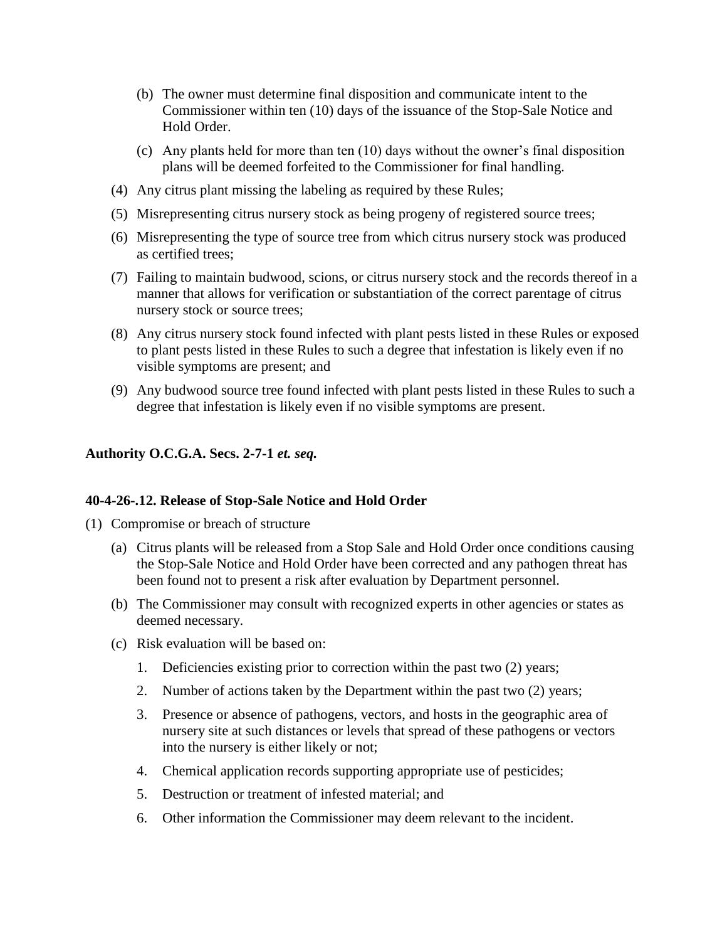- (b) The owner must determine final disposition and communicate intent to the Commissioner within ten (10) days of the issuance of the Stop-Sale Notice and Hold Order.
- (c) Any plants held for more than ten (10) days without the owner's final disposition plans will be deemed forfeited to the Commissioner for final handling.
- (4) Any citrus plant missing the labeling as required by these Rules;
- (5) Misrepresenting citrus nursery stock as being progeny of registered source trees;
- (6) Misrepresenting the type of source tree from which citrus nursery stock was produced as certified trees;
- (7) Failing to maintain budwood, scions, or citrus nursery stock and the records thereof in a manner that allows for verification or substantiation of the correct parentage of citrus nursery stock or source trees;
- (8) Any citrus nursery stock found infected with plant pests listed in these Rules or exposed to plant pests listed in these Rules to such a degree that infestation is likely even if no visible symptoms are present; and
- (9) Any budwood source tree found infected with plant pests listed in these Rules to such a degree that infestation is likely even if no visible symptoms are present.

#### **40-4-26-.12. Release of Stop-Sale Notice and Hold Order**

- (1) Compromise or breach of structure
	- (a) Citrus plants will be released from a Stop Sale and Hold Order once conditions causing the Stop-Sale Notice and Hold Order have been corrected and any pathogen threat has been found not to present a risk after evaluation by Department personnel.
	- (b) The Commissioner may consult with recognized experts in other agencies or states as deemed necessary.
	- (c) Risk evaluation will be based on:
		- 1. Deficiencies existing prior to correction within the past two (2) years;
		- 2. Number of actions taken by the Department within the past two (2) years;
		- 3. Presence or absence of pathogens, vectors, and hosts in the geographic area of nursery site at such distances or levels that spread of these pathogens or vectors into the nursery is either likely or not;
		- 4. Chemical application records supporting appropriate use of pesticides;
		- 5. Destruction or treatment of infested material; and
		- 6. Other information the Commissioner may deem relevant to the incident.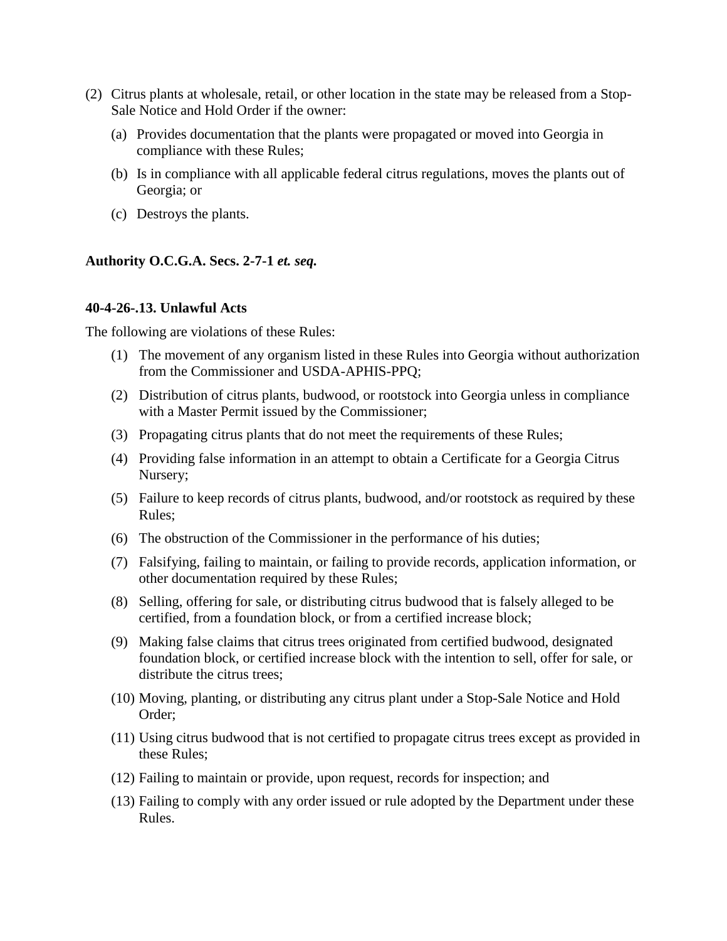- (2) Citrus plants at wholesale, retail, or other location in the state may be released from a Stop-Sale Notice and Hold Order if the owner:
	- (a) Provides documentation that the plants were propagated or moved into Georgia in compliance with these Rules;
	- (b) Is in compliance with all applicable federal citrus regulations, moves the plants out of Georgia; or
	- (c) Destroys the plants.

#### **40-4-26-.13. Unlawful Acts**

The following are violations of these Rules:

- (1) The movement of any organism listed in these Rules into Georgia without authorization from the Commissioner and USDA-APHIS-PPQ;
- (2) Distribution of citrus plants, budwood, or rootstock into Georgia unless in compliance with a Master Permit issued by the Commissioner;
- (3) Propagating citrus plants that do not meet the requirements of these Rules;
- (4) Providing false information in an attempt to obtain a Certificate for a Georgia Citrus Nursery;
- (5) Failure to keep records of citrus plants, budwood, and/or rootstock as required by these Rules;
- (6) The obstruction of the Commissioner in the performance of his duties;
- (7) Falsifying, failing to maintain, or failing to provide records, application information, or other documentation required by these Rules;
- (8) Selling, offering for sale, or distributing citrus budwood that is falsely alleged to be certified, from a foundation block, or from a certified increase block;
- (9) Making false claims that citrus trees originated from certified budwood, designated foundation block, or certified increase block with the intention to sell, offer for sale, or distribute the citrus trees;
- (10) Moving, planting, or distributing any citrus plant under a Stop-Sale Notice and Hold Order;
- (11) Using citrus budwood that is not certified to propagate citrus trees except as provided in these Rules;
- (12) Failing to maintain or provide, upon request, records for inspection; and
- (13) Failing to comply with any order issued or rule adopted by the Department under these Rules.